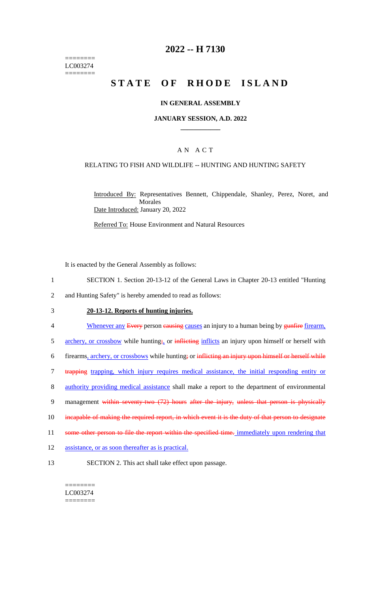======== LC003274 ========

### **2022 -- H 7130**

# **STATE OF RHODE ISLAND**

#### **IN GENERAL ASSEMBLY**

#### **JANUARY SESSION, A.D. 2022 \_\_\_\_\_\_\_\_\_\_\_\_**

### A N A C T

### RELATING TO FISH AND WILDLIFE -- HUNTING AND HUNTING SAFETY

Introduced By: Representatives Bennett, Chippendale, Shanley, Perez, Noret, and Morales Date Introduced: January 20, 2022

Referred To: House Environment and Natural Resources

It is enacted by the General Assembly as follows:

- 1 SECTION 1. Section 20-13-12 of the General Laws in Chapter 20-13 entitled "Hunting
- 2 and Hunting Safety" is hereby amended to read as follows:

#### 3 **20-13-12. Reports of hunting injuries.**

- 4 Whenever any Every person eausing causes an injury to a human being by gunfire firearm,
- 5 archery, or crossbow while hunting; or inflicting inflicts an injury upon himself or herself with
- 6 firearms, archery, or crossbows while hunting; or inflicting an injury upon himself or herself while
- 7 trapping trapping, which injury requires medical assistance, the initial responding entity or
- 8 authority providing medical assistance shall make a report to the department of environmental
- 9 management within seventy-two (72) hours after the injury, unless that person is physically
- 10 incapable of making the required report, in which event it is the duty of that person to designate
- 11 some other person to file the report within the specified time. immediately upon rendering that
- 12 assistance, or as soon thereafter as is practical.
- 13 SECTION 2. This act shall take effect upon passage.

======== LC003274 ========